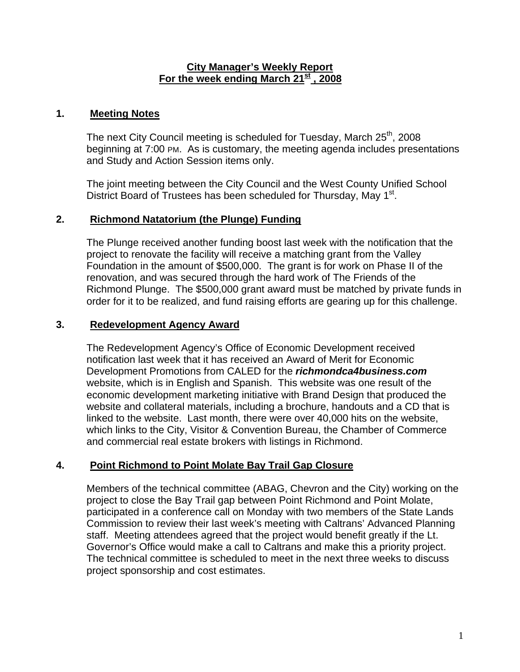#### **City Manager's Weekly Report For the week ending March 21st , 2008**

#### **1. Meeting Notes**

The next City Council meeting is scheduled for Tuesday, March 25<sup>th</sup>, 2008 beginning at 7:00 PM. As is customary, the meeting agenda includes presentations and Study and Action Session items only.

The joint meeting between the City Council and the West County Unified School District Board of Trustees has been scheduled for Thursday, May 1<sup>st</sup>.

### **2. Richmond Natatorium (the Plunge) Funding**

The Plunge received another funding boost last week with the notification that the project to renovate the facility will receive a matching grant from the Valley Foundation in the amount of \$500,000. The grant is for work on Phase II of the renovation, and was secured through the hard work of The Friends of the Richmond Plunge. The \$500,000 grant award must be matched by private funds in order for it to be realized, and fund raising efforts are gearing up for this challenge.

### **3. Redevelopment Agency Award**

The Redevelopment Agency's Office of Economic Development received notification last week that it has received an Award of Merit for Economic Development Promotions from CALED for the *richmondca4business.com* website, which is in English and Spanish. This website was one result of the economic development marketing initiative with Brand Design that produced the website and collateral materials, including a brochure, handouts and a CD that is linked to the website. Last month, there were over 40,000 hits on the website, which links to the City, Visitor & Convention Bureau, the Chamber of Commerce and commercial real estate brokers with listings in Richmond.

# **4. Point Richmond to Point Molate Bay Trail Gap Closure**

Members of the technical committee (ABAG, Chevron and the City) working on the project to close the Bay Trail gap between Point Richmond and Point Molate, participated in a conference call on Monday with two members of the State Lands Commission to review their last week's meeting with Caltrans' Advanced Planning staff. Meeting attendees agreed that the project would benefit greatly if the Lt. Governor's Office would make a call to Caltrans and make this a priority project. The technical committee is scheduled to meet in the next three weeks to discuss project sponsorship and cost estimates.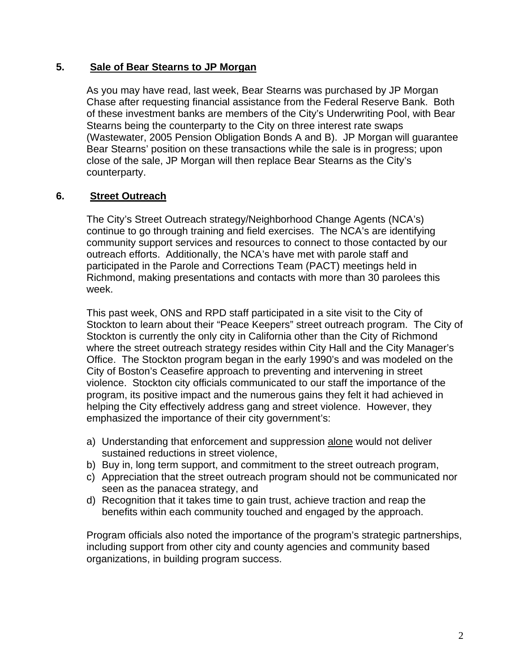### **5. Sale of Bear Stearns to JP Morgan**

As you may have read, last week, Bear Stearns was purchased by JP Morgan Chase after requesting financial assistance from the Federal Reserve Bank. Both of these investment banks are members of the City's Underwriting Pool, with Bear Stearns being the counterparty to the City on three interest rate swaps (Wastewater, 2005 Pension Obligation Bonds A and B). JP Morgan will guarantee Bear Stearns' position on these transactions while the sale is in progress; upon close of the sale, JP Morgan will then replace Bear Stearns as the City's counterparty.

# **6. Street Outreach**

The City's Street Outreach strategy/Neighborhood Change Agents (NCA's) continue to go through training and field exercises. The NCA's are identifying community support services and resources to connect to those contacted by our outreach efforts. Additionally, the NCA's have met with parole staff and participated in the Parole and Corrections Team (PACT) meetings held in Richmond, making presentations and contacts with more than 30 parolees this week.

This past week, ONS and RPD staff participated in a site visit to the City of Stockton to learn about their "Peace Keepers" street outreach program. The City of Stockton is currently the only city in California other than the City of Richmond where the street outreach strategy resides within City Hall and the City Manager's Office. The Stockton program began in the early 1990's and was modeled on the City of Boston's Ceasefire approach to preventing and intervening in street violence. Stockton city officials communicated to our staff the importance of the program, its positive impact and the numerous gains they felt it had achieved in helping the City effectively address gang and street violence. However, they emphasized the importance of their city government's:

- a) Understanding that enforcement and suppression alone would not deliver sustained reductions in street violence,
- b) Buy in, long term support, and commitment to the street outreach program,
- c) Appreciation that the street outreach program should not be communicated nor seen as the panacea strategy, and
- d) Recognition that it takes time to gain trust, achieve traction and reap the benefits within each community touched and engaged by the approach.

Program officials also noted the importance of the program's strategic partnerships, including support from other city and county agencies and community based organizations, in building program success.